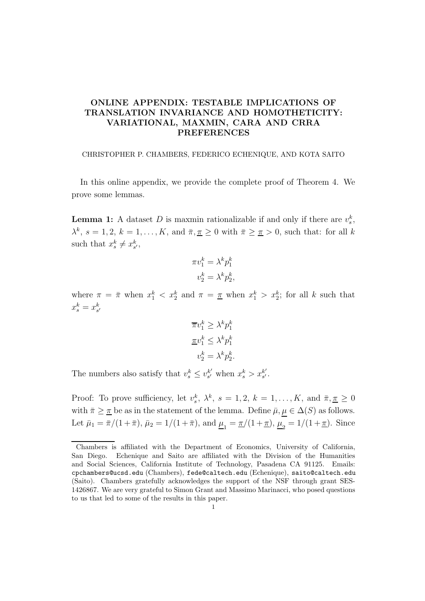## ONLINE APPENDIX: TESTABLE IMPLICATIONS OF TRANSLATION INVARIANCE AND HOMOTHETICITY: VARIATIONAL, MAXMIN, CARA AND CRRA PREFERENCES

CHRISTOPHER P. CHAMBERS, FEDERICO ECHENIQUE, AND KOTA SAITO

In this online appendix, we provide the complete proof of Theorem 4. We prove some lemmas.

**Lemma 1:** A dataset D is maxmin rationalizable if and only if there are  $v_s^k$ ,  $\lambda^k$ ,  $s = 1, 2, k = 1, \ldots, K$ , and  $\bar{\pi}, \bar{\pi} \geq 0$  with  $\bar{\pi} \geq \bar{\pi} > 0$ , such that: for all k such that  $x_s^k \neq x_{s'}^k$ ,

$$
\pi v_1^k = \lambda^k p_1^k
$$

$$
v_2^k = \lambda^k p_2^k,
$$

where  $\pi = \bar{\pi}$  when  $x_1^k < x_2^k$  and  $\pi = \bar{\pi}$  when  $x_1^k > x_2^k$ ; for all k such that  $x_s^k = x_{s'}^k$ 

$$
\begin{aligned}\n\overline{\pi}v_1^k &\ge \lambda^k p_1^k \\
\underline{\pi}v_1^k &\le \lambda^k p_1^k \\
v_2^k &= \lambda^k p_2^k\n\end{aligned}
$$

.

The numbers also satisfy that  $v_s^k \leq v_{s'}^{k'}$  $s'$  when  $x_s^k > x_{s'}^{k'}$  $s'$ .

Proof: To prove sufficiency, let  $v_s^k$ ,  $\lambda^k$ ,  $s = 1, 2$ ,  $k = 1, ..., K$ , and  $\bar{\pi}, \underline{\pi} \geq 0$ with  $\bar{\pi} \geq \bar{\pi}$  be as in the statement of the lemma. Define  $\bar{\mu}, \mu \in \Delta(S)$  as follows. Let  $\bar{\mu}_1 = \bar{\pi}/(1+\bar{\pi}), \bar{\mu}_2 = 1/(1+\bar{\pi}), \text{ and } \underline{\mu}_1 = \underline{\pi}/(1+\underline{\pi}), \underline{\mu}_2 = 1/(1+\underline{\pi}).$  Since

Chambers is affiliated with the Department of Economics, University of California, San Diego. Echenique and Saito are affiliated with the Division of the Humanities and Social Sciences, California Institute of Technology, Pasadena CA 91125. Emails: cpchambers@ucsd.edu (Chambers), fede@caltech.edu (Echenique), saito@caltech.edu (Saito). Chambers gratefully acknowledges the support of the NSF through grant SES-1426867. We are very grateful to Simon Grant and Massimo Marinacci, who posed questions to us that led to some of the results in this paper.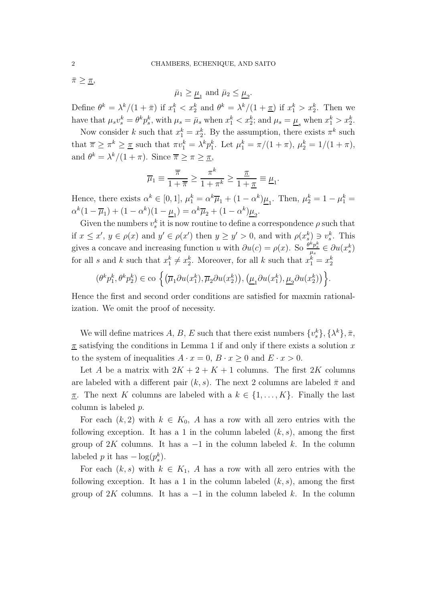$\bar{\pi} \geq \underline{\pi}$ ,

 $\bar{\mu}_1 \geq \underline{\mu}_1$  and  $\bar{\mu}_2 \leq \underline{\mu}_2$ .

Define  $\theta^k = \lambda^k/(1+\bar{\pi})$  if  $x_1^k < x_2^k$  and  $\theta^k = \lambda^k/(1+\underline{\pi})$  if  $x_1^k > x_2^k$ . Then we have that  $\mu_s v_s^k = \theta^k p_s^k$ , with  $\mu_s = \bar{\mu}_s$  when  $x_1^k < x_2^k$ ; and  $\mu_s = \underline{\mu}_s$  when  $x_1^k > x_2^k$ .

Now consider k such that  $x_1^k = x_2^k$ . By the assumption, there exists  $\pi^k$  such that  $\overline{\pi} \geq \pi^k \geq \overline{\pi}$  such that  $\pi v_1^k = \lambda^k p_1^k$ . Let  $\mu_1^k = \pi/(1+\pi)$ ,  $\mu_2^k = 1/(1+\pi)$ , and  $\theta^k = \lambda^k/(1+\pi)$ . Since  $\overline{\pi} \geq \pi \geq \overline{\pi}$ ,

$$
\overline{\mu}_1 \equiv \frac{\overline{\pi}}{1 + \overline{\pi}} \ge \frac{\pi^k}{1 + \pi^k} \ge \frac{\underline{\pi}}{1 + \underline{\pi}} \equiv \underline{\mu}_1.
$$

Hence, there exists  $\alpha^k \in [0,1]$ ,  $\mu_1^k = \alpha^k \overline{\mu}_1 + (1 - \alpha^k) \underline{\mu}_1$ . Then,  $\mu_2^k = 1 - \mu_1^k =$  $\alpha^{k}(1-\overline{\mu}_{1}) + (1-\alpha^{k})(1-\underline{\mu}_{1}) = \alpha^{k}\overline{\mu}_{2} + (1-\alpha^{k})\underline{\mu}_{2}.$ 

Given the numbers  $v_s^k$  it is now routine to define a correspondence  $\rho$  such that if  $x \leq x'$ ,  $y \in \rho(x)$  and  $y' \in \rho(x')$  then  $y \geq y' > 0$ , and with  $\rho(x_s^k) \ni v_s^k$ . This gives a concave and increasing function u with  $\partial u(c) = \rho(x)$ . So  $\frac{\partial^k p_s^k}{\mu_s} \in \partial u(x_s^k)$ for all s and k such that  $x_1^k \neq x_2^k$ . Moreover, for all k such that  $x_1^k = x_2^k$ 

$$
(\theta^k p_1^k, \theta^k p_2^k) \in \text{co}\left\{ \left( \overline{\mu}_1 \partial u(x_1^k), \overline{\mu}_2 \partial u(x_2^k) \right), \left( \underline{\mu}_1 \partial u(x_1^k), \underline{\mu}_2 \partial u(x_2^k) \right) \right\}.
$$

Hence the first and second order conditions are satisfied for maxmin rationalization. We omit the proof of necessity.

We will define matrices A, B, E such that there exist numbers  $\{v_s^k\}, \{\lambda^k\}, \bar{\pi},$  $\pi$  satisfying the conditions in Lemma 1 if and only if there exists a solution x to the system of inequalities  $A \cdot x = 0$ ,  $B \cdot x \ge 0$  and  $E \cdot x > 0$ .

Let A be a matrix with  $2K + 2 + K + 1$  columns. The first  $2K$  columns are labeled with a different pair  $(k, s)$ . The next 2 columns are labeled  $\bar{\pi}$  and <u>π</u>. The next K columns are labeled with a  $k \in \{1, ..., K\}$ . Finally the last column is labeled p.

For each  $(k, 2)$  with  $k \in K_0$ , A has a row with all zero entries with the following exception. It has a 1 in the column labeled  $(k, s)$ , among the first group of 2K columns. It has a  $-1$  in the column labeled k. In the column labeled p it has  $-\log(p_s^k)$ .

For each  $(k, s)$  with  $k \in K_1$ , A has a row with all zero entries with the following exception. It has a 1 in the column labeled  $(k, s)$ , among the first group of 2K columns. It has a  $-1$  in the column labeled k. In the column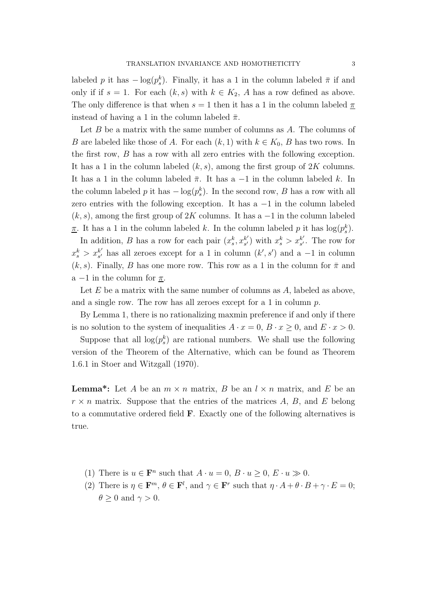labeled p it has  $-\log(p_s^k)$ . Finally, it has a 1 in the column labeled  $\bar{\pi}$  if and only if if  $s = 1$ . For each  $(k, s)$  with  $k \in K_2$ , A has a row defined as above. The only difference is that when  $s = 1$  then it has a 1 in the column labeled  $\pi$ instead of having a 1 in the column labeled  $\bar{\pi}$ .

Let  $B$  be a matrix with the same number of columns as  $A$ . The columns of B are labeled like those of A. For each  $(k, 1)$  with  $k \in K_0$ , B has two rows. In the first row, B has a row with all zero entries with the following exception. It has a 1 in the column labeled  $(k, s)$ , among the first group of 2K columns. It has a 1 in the column labeled  $\bar{\pi}$ . It has a -1 in the column labeled k. In the column labeled p it has  $-\log(p_s^k)$ . In the second row, B has a row with all zero entries with the following exception. It has  $a -1$  in the column labeled  $(k, s)$ , among the first group of 2K columns. It has a  $-1$  in the column labeled <u> $\pi$ </u>. It has a 1 in the column labeled k. In the column labeled p it has  $\log(p_s^k)$ .

In addition, B has a row for each pair  $(x_s^k, x_{s'}^{k'})$  $s'$ ) with  $x_s^k > x_{s'}^{k'}$  $s'$ . The row for  $x_s^k > x_{s'}^{k'}$  $s'$  has all zeroes except for a 1 in column  $(k', s')$  and a -1 in column  $(k, s)$ . Finally, B has one more row. This row as a 1 in the column for  $\bar{\pi}$  and a  $-1$  in the column for  $\pi$ .

Let  $E$  be a matrix with the same number of columns as  $A$ , labeled as above, and a single row. The row has all zeroes except for a 1 in column p.

By Lemma 1, there is no rationalizing maxmin preference if and only if there is no solution to the system of inequalities  $A \cdot x = 0$ ,  $B \cdot x \ge 0$ , and  $E \cdot x > 0$ .

Suppose that all  $log(p_s^k)$  are rational numbers. We shall use the following version of the Theorem of the Alternative, which can be found as Theorem 1.6.1 in Stoer and Witzgall (1970).

**Lemma\*:** Let A be an  $m \times n$  matrix, B be an  $l \times n$  matrix, and E be an  $r \times n$  matrix. Suppose that the entries of the matrices A, B, and E belong to a commutative ordered field F. Exactly one of the following alternatives is true.

- (1) There is  $u \in \mathbf{F}^n$  such that  $A \cdot u = 0$ ,  $B \cdot u \ge 0$ ,  $E \cdot u \gg 0$ .
- (2) There is  $\eta \in \mathbf{F}^m$ ,  $\theta \in \mathbf{F}^l$ , and  $\gamma \in \mathbf{F}^r$  such that  $\eta \cdot A + \theta \cdot B + \gamma \cdot E = 0$ ;  $\theta > 0$  and  $\gamma > 0$ .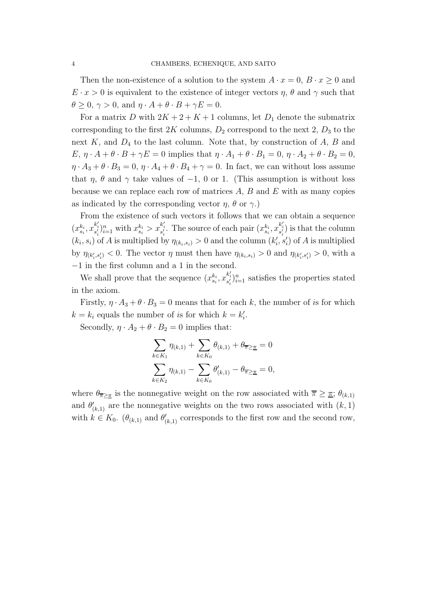Then the non-existence of a solution to the system  $A \cdot x = 0$ ,  $B \cdot x \ge 0$  and  $E \cdot x > 0$  is equivalent to the existence of integer vectors  $\eta$ ,  $\theta$  and  $\gamma$  such that  $\theta \geq 0, \gamma > 0$ , and  $\eta \cdot A + \theta \cdot B + \gamma E = 0$ .

For a matrix D with  $2K + 2 + K + 1$  columns, let  $D_1$  denote the submatrix corresponding to the first  $2K$  columns,  $D_2$  correspond to the next 2,  $D_3$  to the next  $K$ , and  $D_4$  to the last column. Note that, by construction of  $A$ ,  $B$  and  $E, \eta \cdot A + \theta \cdot B + \gamma E = 0$  implies that  $\eta \cdot A_1 + \theta \cdot B_1 = 0, \eta \cdot A_2 + \theta \cdot B_2 = 0$ ,  $\eta \cdot A_3 + \theta \cdot B_3 = 0$ ,  $\eta \cdot A_4 + \theta \cdot B_4 + \gamma = 0$ . In fact, we can without loss assume that  $\eta$ ,  $\theta$  and  $\gamma$  take values of -1, 0 or 1. (This assumption is without loss because we can replace each row of matrices  $A, B$  and  $E$  with as many copies as indicated by the corresponding vector  $\eta$ ,  $\theta$  or  $\gamma$ .)

From the existence of such vectors it follows that we can obtain a sequence  $(x_{s_i}^{k_i}, x_{s'_i}^{k'_i})_{i=1}^n$  with  $x_{s_i}^{k_i} > x_{s'_i}^{k'_i}$ . The source of each pair  $(x_{s_i}^{k_i}, x_{s'_i}^{k'_i})$  is that the column  $(k_i, s_i)$  of A is multiplied by  $\eta_{(k_i, s_i)} > 0$  and the column  $(k'_i, s'_i)$  of A is multiplied by  $\eta_{(k'_i,s'_i)} < 0$ . The vector  $\eta$  must then have  $\eta_{(k_i,s_i)} > 0$  and  $\eta_{(k'_i,s'_i)} > 0$ , with a −1 in the first column and a 1 in the second.

We shall prove that the sequence  $(x_{s_i}^{k_i}, x_{s'_i}^{k'_i})_{i=1}^n$  satisfies the properties stated in the axiom.

Firstly,  $\eta \cdot A_3 + \theta \cdot B_3 = 0$  means that for each k, the number of is for which  $k = k_i$  equals the number of is for which  $k = k'_i$ .

Secondly,  $\eta \cdot A_2 + \theta \cdot B_2 = 0$  implies that:

$$
\sum_{k \in K_1} \eta_{(k,1)} + \sum_{k \in K_0} \theta_{(k,1)} + \theta_{\overline{\pi} \ge \underline{\pi}} = 0
$$
  

$$
\sum_{k \in K_2} \eta_{(k,1)} - \sum_{k \in K_0} \theta'_{(k,1)} - \theta_{\overline{\pi} \ge \underline{\pi}} = 0,
$$

where  $\theta_{\overline{n}\geq \pi}$  is the nonnegative weight on the row associated with  $\overline{n}\geq \pi$ ;  $\theta_{(k,1)}$ and  $\theta'_{(k,1)}$  are the nonnegative weights on the two rows associated with  $(k, 1)$ with  $k \in K_0$ .  $(\theta_{(k,1)}$  and  $\theta'_{(k,1)}$  corresponds to the first row and the second row,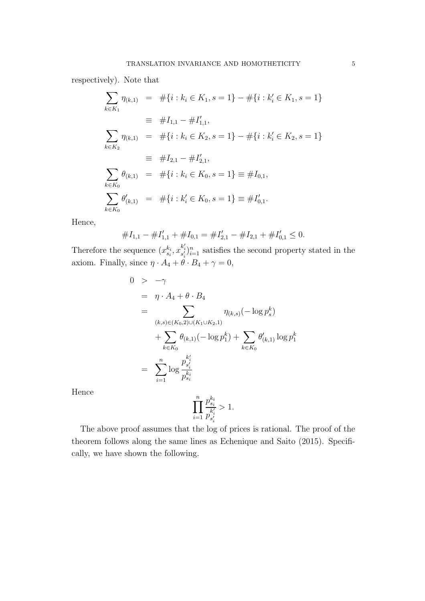respectively). Note that

$$
\sum_{k \in K_1} \eta_{(k,1)} = #\{i : k_i \in K_1, s = 1\} - #\{i : k'_i \in K_1, s = 1\}
$$
  
\n
$$
\equiv #I_{1,1} - #I'_{1,1},
$$
  
\n
$$
\sum_{k \in K_2} \eta_{(k,1)} = #\{i : k_i \in K_2, s = 1\} - #\{i : k'_i \in K_2, s = 1\}
$$
  
\n
$$
\equiv #I_{2,1} - #I'_{2,1},
$$
  
\n
$$
\sum_{k \in K_0} \theta_{(k,1)} = #\{i : k_i \in K_0, s = 1\} = #I_{0,1},
$$
  
\n
$$
\sum_{k \in K_0} \theta'_{(k,1)} = #\{i : k'_i \in K_0, s = 1\} = #I'_{0,1}.
$$

Hence,

$$
\#I_{1,1} - \#I'_{1,1} + \#I_{0,1} = \#I'_{2,1} - \#I_{2,1} + \#I'_{0,1} \leq 0.
$$

Therefore the sequence  $(x_{s_i}^{k_i}, x_{s'_i}^{k'_i})_{i=1}^n$  satisfies the second property stated in the axiom. Finally, since  $\eta \cdot A_4 + \theta \cdot B_4 + \gamma = 0$ ,

$$
0 > -\gamma
$$
  
\n
$$
= \eta \cdot A_4 + \theta \cdot B_4
$$
  
\n
$$
= \sum_{(k,s) \in (K_0,2) \cup (K_1 \cup K_2,1)} \eta_{(k,s)}(-\log p_s^k)
$$
  
\n
$$
+ \sum_{k \in K_0} \theta_{(k,1)}(-\log p_1^k) + \sum_{k \in K_0} \theta'_{(k,1)} \log p_1^k
$$
  
\n
$$
= \sum_{i=1}^n \log \frac{p_{s'_i}^{k'_i}}{p_{s_i}^{k_i}}
$$

Hence

$$
\prod_{i=1}^n \frac{p_{s_i}^{k_i}}{p_{s_i'}^{k_i'}} > 1.
$$

The above proof assumes that the log of prices is rational. The proof of the theorem follows along the same lines as Echenique and Saito (2015). Specifically, we have shown the following.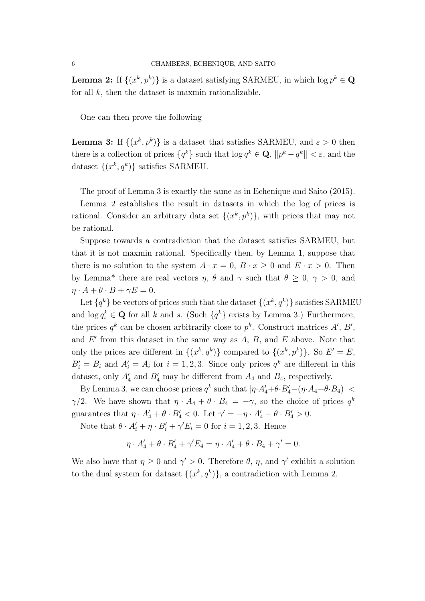**Lemma 2:** If  $\{(x^k, p^k)\}$  is a dataset satisfying SARMEU, in which  $\log p^k \in \mathbf{Q}$ for all  $k$ , then the dataset is maxmin rationalizable.

One can then prove the following

**Lemma 3:** If  $\{(x^k, p^k)\}\$ is a dataset that satisfies SARMEU, and  $\varepsilon > 0$  then there is a collection of prices  $\{q^k\}$  such that  $\log q^k \in \mathbf{Q}$ ,  $\|p^k - q^k\| < \varepsilon$ , and the dataset  $\{(x^k, q^k)\}\$  satisfies SARMEU.

The proof of Lemma 3 is exactly the same as in Echenique and Saito (2015).

Lemma 2 establishes the result in datasets in which the log of prices is rational. Consider an arbitrary data set  $\{(x^k, p^k)\}\$ , with prices that may not be rational.

Suppose towards a contradiction that the dataset satisfies SARMEU, but that it is not maxmin rational. Specifically then, by Lemma 1, suppose that there is no solution to the system  $A \cdot x = 0$ ,  $B \cdot x > 0$  and  $E \cdot x > 0$ . Then by Lemma\* there are real vectors  $\eta$ ,  $\theta$  and  $\gamma$  such that  $\theta \geq 0$ ,  $\gamma > 0$ , and  $\eta \cdot A + \theta \cdot B + \gamma E = 0.$ 

Let  $\{q^k\}$  be vectors of prices such that the dataset  $\{(x^k, q^k)\}\$  satisfies SARMEU and  $\log q_s^k \in \mathbf{Q}$  for all k and s. (Such  $\{q^k\}$  exists by Lemma 3.) Furthermore, the prices  $q^k$  can be chosen arbitrarily close to  $p^k$ . Construct matrices  $A', B',$ and  $E'$  from this dataset in the same way as  $A, B$ , and  $E$  above. Note that only the prices are different in  $\{(x^k, q^k)\}\)$  compared to  $\{(x^k, p^k)\}\$ . So  $E' = E$ ,  $B'_i = B_i$  and  $A'_i = A_i$  for  $i = 1, 2, 3$ . Since only prices  $q^k$  are different in this dataset, only  $A'_4$  and  $B'_4$  may be different from  $A_4$  and  $B_4$ , respectively.

By Lemma 3, we can choose prices  $q^k$  such that  $|\eta \cdot A'_4 + \theta \cdot B'_4 - (\eta \cdot A_4 + \theta \cdot B_4)|$  <  $\gamma/2$ . We have shown that  $\eta \cdot A_4 + \theta \cdot B_4 = -\gamma$ , so the choice of prices  $q^k$ guarantees that  $\eta \cdot A'_4 + \theta \cdot B'_4 < 0$ . Let  $\gamma' = -\eta \cdot A'_4 - \theta \cdot B'_4 > 0$ .

Note that  $\theta \cdot A'_i + \eta \cdot B'_i + \gamma' E_i = 0$  for  $i = 1, 2, 3$ . Hence

$$
\eta \cdot A'_4 + \theta \cdot B'_4 + \gamma' E_4 = \eta \cdot A'_4 + \theta \cdot B_4 + \gamma' = 0.
$$

We also have that  $\eta \geq 0$  and  $\gamma' > 0$ . Therefore  $\theta$ ,  $\eta$ , and  $\gamma'$  exhibit a solution to the dual system for dataset  $\{(x^k, q^k)\}\$ , a contradiction with Lemma 2.